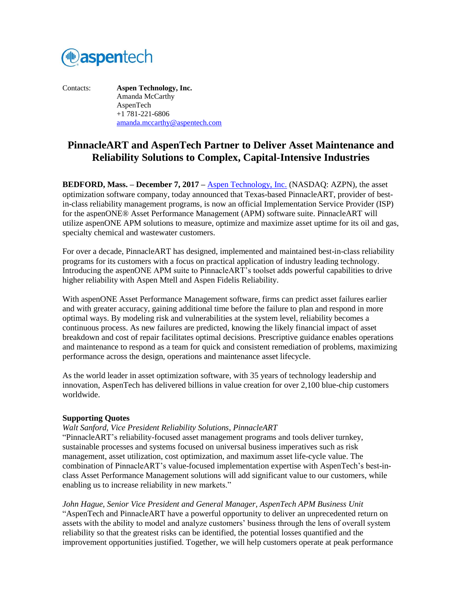

Contacts: **Aspen Technology, Inc.** Amanda McCarthy AspenTech +1 781-221-6806 [amanda.mccarthy@aspentech.com](mailto:amanda.mccarthy@aspentech.com)

# **PinnacleART and AspenTech Partner to Deliver Asset Maintenance and Reliability Solutions to Complex, Capital-Intensive Industries**

**BEDFORD, Mass. – December 7, 2017 –** [Aspen Technology, Inc.](http://www.aspentech.com/) (NASDAQ: AZPN), the asset optimization software company, today announced that Texas-based PinnacleART, provider of bestin-class reliability management programs, is now an official Implementation Service Provider (ISP) for the aspenONE® Asset Performance Management (APM) software suite. PinnacleART will utilize aspenONE APM solutions to measure, optimize and maximize asset uptime for its oil and gas, specialty chemical and wastewater customers.

For over a decade, PinnacleART has designed, implemented and maintained best-in-class reliability programs for its customers with a focus on practical application of industry leading technology. Introducing the aspenONE APM suite to PinnacleART's toolset adds powerful capabilities to drive higher reliability with Aspen Mtell and Aspen Fidelis Reliability.

With aspenONE Asset Performance Management software, firms can predict asset failures earlier and with greater accuracy, gaining additional time before the failure to plan and respond in more optimal ways. By modeling risk and vulnerabilities at the system level, reliability becomes a continuous process. As new failures are predicted, knowing the likely financial impact of asset breakdown and cost of repair facilitates optimal decisions. Prescriptive guidance enables operations and maintenance to respond as a team for quick and consistent remediation of problems, maximizing performance across the design, operations and maintenance asset lifecycle.

As the world leader in asset optimization software, with 35 years of technology leadership and innovation, AspenTech has delivered billions in value creation for over 2,100 blue-chip customers worldwide.

#### **Supporting Quotes**

#### *Walt Sanford, Vice President Reliability Solutions, PinnacleART*

"PinnacleART's reliability-focused asset management programs and tools deliver turnkey, sustainable processes and systems focused on universal business imperatives such as risk management, asset utilization, cost optimization, and maximum asset life-cycle value. The combination of PinnacleART's value-focused implementation expertise with AspenTech's best-inclass Asset Performance Management solutions will add significant value to our customers, while enabling us to increase reliability in new markets."

*John Hague, Senior Vice President and General Manager, AspenTech APM Business Unit* "AspenTech and PinnacleART have a powerful opportunity to deliver an unprecedented return on assets with the ability to model and analyze customers' business through the lens of overall system reliability so that the greatest risks can be identified, the potential losses quantified and the improvement opportunities justified. Together, we will help customers operate at peak performance